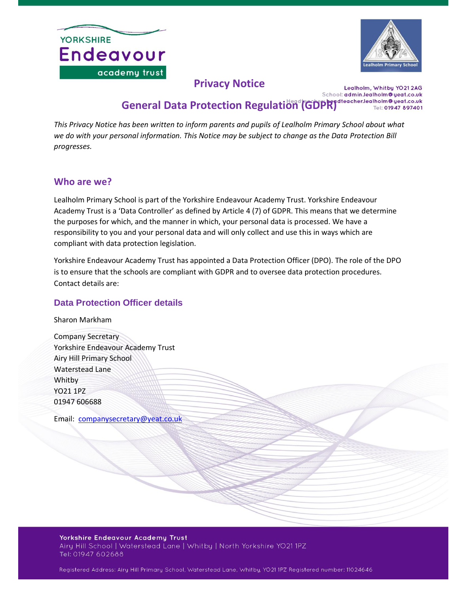



# **Privacy Notice**

Lealholm, Whitby YO21 2AG School: admin.lealholm@yeat.co.uk General Data Protection Regulation<sup>1</sup> (GDPR)<sup>1464</sup> Checker, Lealholm® yeat.co.uk

*This Privacy Notice has been written to inform parents and pupils of Lealholm Primary School about what we do with your personal information. This Notice may be subject to change as the Data Protection Bill progresses.*

#### **Who are we?**

Lealholm Primary School is part of the Yorkshire Endeavour Academy Trust. Yorkshire Endeavour Academy Trust is a 'Data Controller' as defined by Article 4 (7) of GDPR. This means that we determine the purposes for which, and the manner in which, your personal data is processed. We have a responsibility to you and your personal data and will only collect and use this in ways which are compliant with data protection legislation.

Yorkshire Endeavour Academy Trust has appointed a Data Protection Officer (DPO). The role of the DPO is to ensure that the schools are compliant with GDPR and to oversee data protection procedures. Contact details are:

#### **Data Protection Officer details**

Sharon Markham

Company Secretary Yorkshire Endeavour Academy Trust Airy Hill Primary School Waterstead Lane Whitby YO21 1PZ 01947 606688

Email: [companysecretary@yeat.co.uk](mailto:companysecretary@yeat.co.uk)

Yorkshire Endeavour Academy Trust Airy Hill School | Waterstead Lane | Whitby | North Yorkshire YO21 1PZ<br>Tel: 01947 602688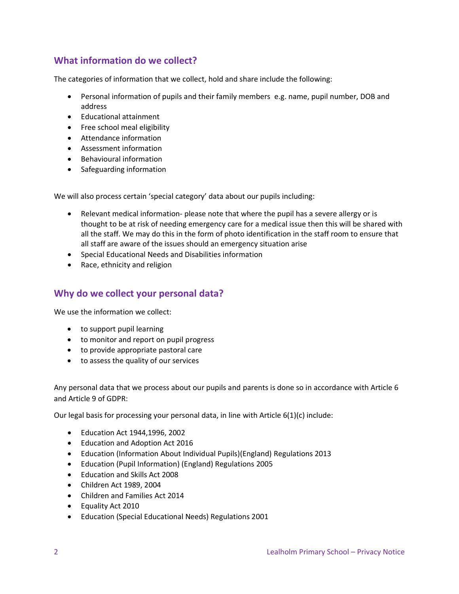# **What information do we collect?**

The categories of information that we collect, hold and share include the following:

- Personal information of pupils and their family members e.g. name, pupil number, DOB and address
- Educational attainment
- Free school meal eligibility
- Attendance information
- Assessment information
- Behavioural information
- Safeguarding information

We will also process certain 'special category' data about our pupils including:

- Relevant medical information- please note that where the pupil has a severe allergy or is thought to be at risk of needing emergency care for a medical issue then this will be shared with all the staff. We may do this in the form of photo identification in the staff room to ensure that all staff are aware of the issues should an emergency situation arise
- Special Educational Needs and Disabilities information
- Race, ethnicity and religion

## **Why do we collect your personal data?**

We use the information we collect:

- to support pupil learning
- to monitor and report on pupil progress
- to provide appropriate pastoral care
- to assess the quality of our services

Any personal data that we process about our pupils and parents is done so in accordance with Article 6 and Article 9 of GDPR:

Our legal basis for processing your personal data, in line with Article 6(1)(c) include:

- Education Act 1944,1996, 2002
- Education and Adoption Act 2016
- Education (Information About Individual Pupils)(England) Regulations 2013
- Education (Pupil Information) (England) Regulations 2005
- Education and Skills Act 2008
- Children Act 1989, 2004
- Children and Families Act 2014
- Equality Act 2010
- Education (Special Educational Needs) Regulations 2001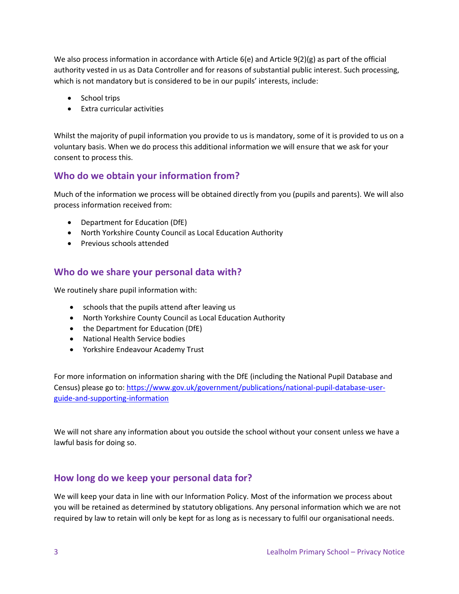We also process information in accordance with Article 6(e) and Article 9(2)(g) as part of the official authority vested in us as Data Controller and for reasons of substantial public interest. Such processing, which is not mandatory but is considered to be in our pupils' interests, include:

- School trips
- Extra curricular activities

Whilst the majority of pupil information you provide to us is mandatory, some of it is provided to us on a voluntary basis. When we do process this additional information we will ensure that we ask for your consent to process this.

### **Who do we obtain your information from?**

Much of the information we process will be obtained directly from you (pupils and parents). We will also process information received from:

- Department for Education (DfE)
- North Yorkshire County Council as Local Education Authority
- Previous schools attended

### **Who do we share your personal data with?**

We routinely share pupil information with:

- schools that the pupils attend after leaving us
- North Yorkshire County Council as Local Education Authority
- the Department for Education (DfE)
- National Health Service bodies
- Yorkshire Endeavour Academy Trust

For more information on information sharing with the DfE (including the National Pupil Database and Census) please go to: [https://www.gov.uk/government/publications/national-pupil-database-user](https://www.gov.uk/government/publications/national-pupil-database-user-guide-and-supporting-information)[guide-and-supporting-information](https://www.gov.uk/government/publications/national-pupil-database-user-guide-and-supporting-information)

We will not share any information about you outside the school without your consent unless we have a lawful basis for doing so.

### **How long do we keep your personal data for?**

We will keep your data in line with our Information Policy. Most of the information we process about you will be retained as determined by statutory obligations. Any personal information which we are not required by law to retain will only be kept for as long as is necessary to fulfil our organisational needs.